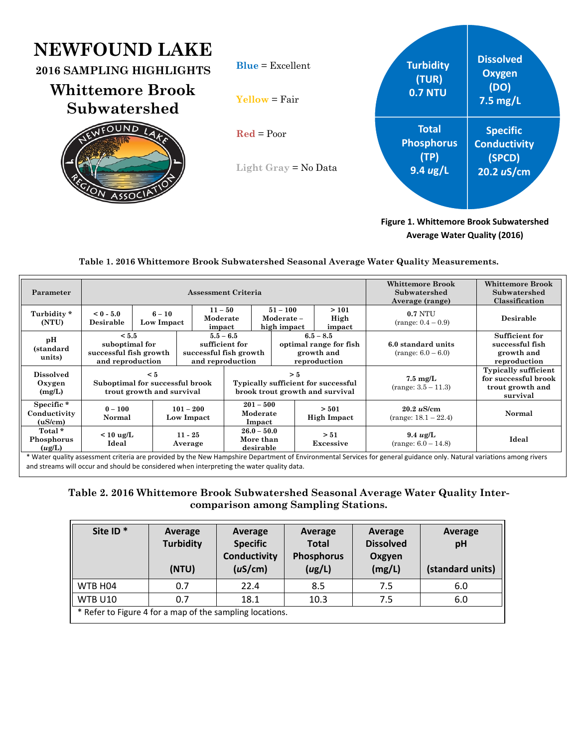# **NEV**

| NEWFOUND LAKE<br>2016 SAMPLING HIGHLIGHTS<br><b>Whittemore Brook</b><br>Subwatershed | $Blue = Excellent$<br>$Y$ ellow = Fair               | <b>Turbidity</b><br>(TUR)<br><b>0.7 NTU</b>                     | <b>Dissolved</b><br><b>Oxygen</b><br>(DO)<br>$7.5$ mg/L        |
|--------------------------------------------------------------------------------------|------------------------------------------------------|-----------------------------------------------------------------|----------------------------------------------------------------|
| <b>IFOUND</b>                                                                        | $\text{Red} = \text{Poor}$<br>Light Gray = $No Data$ | <b>Total</b><br><b>Phosphorus</b><br>(TP)<br>$9.4 \text{ ug/L}$ | <b>Specific</b><br><b>Conductivity</b><br>(SPCD)<br>20.2 uS/cm |
|                                                                                      |                                                      |                                                                 |                                                                |

**Figure 1. Whittemore Brook Subwatershed Average Water Quality (2016)**

## **Table 1. 2016 Whittemore Brook Subwatershed Seasonal Average Water Quality Measurements.**

| Parameter                            | Assessment Criteria                                                      |                        |                                                                               |                                         |  | <b>Whittemore Brook</b><br>Subwatershed<br>Average (range)          | Whittemore Brook<br>Subwatershed<br>Classification |                                                                                     |                                                                 |
|--------------------------------------|--------------------------------------------------------------------------|------------------------|-------------------------------------------------------------------------------|-----------------------------------------|--|---------------------------------------------------------------------|----------------------------------------------------|-------------------------------------------------------------------------------------|-----------------------------------------------------------------|
| Turbidity*<br>(NTU)                  | $< 0 - 5.0$<br>Desirable                                                 | $6 - 10$<br>Low Impact |                                                                               | $11 - 50$<br>Moderate<br>impact         |  | $51 - 100$<br>Moderate-<br>high impact                              | >101<br>High<br>impact                             | <b>0.7 NTU</b><br>$(range: 0.4 - 0.9)$                                              | Desirable                                                       |
| pН<br>(standard<br>units)            | < 5.5<br>suboptimal for<br>successful fish growth<br>and reproduction    |                        | $5.5 - 6.5$<br>sufficient for<br>successful fish growth<br>and reproduction   |                                         |  | $6.5 - 8.5$<br>optimal range for fish<br>growth and<br>reproduction |                                                    | 6.0 standard units<br>$(range: 6.0 - 6.0)$                                          | Sufficient for<br>successful fish<br>growth and<br>reproduction |
| <b>Dissolved</b><br>Oxygen<br>(mg/L) | $\leq 5$<br>Suboptimal for successful brook<br>trout growth and survival |                        | > 5<br>Typically sufficient for successful<br>brook trout growth and survival |                                         |  |                                                                     | $7.5 \text{ mg/L}$<br>$(range: 3.5 - 11.3)$        | <b>Typically sufficient</b><br>for successful brook<br>trout growth and<br>survival |                                                                 |
| Specific*<br>Conductivity<br>(uS/cm) | $0 - 100$<br>Normal                                                      |                        | $101 - 200$<br>Low Impact                                                     | $201 - 500$<br>Moderate<br>Impact       |  |                                                                     | > 501<br><b>High Impact</b>                        | 20.2 uS/cm<br>$(range: 18.1 - 22.4)$                                                | Normal                                                          |
| Total *<br>Phosphorus<br>(ug/L)      | $< 10 \text{ ug/L}$<br>Ideal                                             |                        | $11 - 25$<br>Average                                                          | $26.0 - 50.0$<br>More than<br>desirable |  |                                                                     | > 51<br>Excessive                                  | $9.4 \text{ ug/L}$<br>$(range: 6.0 - 14.8)$                                         | Ideal                                                           |

and streams will occur and should be considered when interpreting the water quality data.

## **Table 2. 2016 Whittemore Brook Subwatershed Seasonal Average Water Quality Intercomparison among Sampling Stations.**

| Site ID <sup>*</sup>                                     | Average<br><b>Turbidity</b><br>(NTU) | Average<br><b>Specific</b><br>Conductivity<br>(uS/cm) | Average<br><b>Total</b><br><b>Phosphorus</b><br>(ug/L) | Average<br><b>Dissolved</b><br>Oxgyen<br>(mg/L) | Average<br>pH<br>(standard units) |  |
|----------------------------------------------------------|--------------------------------------|-------------------------------------------------------|--------------------------------------------------------|-------------------------------------------------|-----------------------------------|--|
| WTB H04                                                  | 0.7                                  | 22.4                                                  | 8.5                                                    | 7.5                                             | 6.0                               |  |
| <b>WTB U10</b>                                           | 0.7                                  | 18.1                                                  | 10.3                                                   | 7.5                                             | 6.0                               |  |
| * Refer to Figure 4 for a map of the sampling locations. |                                      |                                                       |                                                        |                                                 |                                   |  |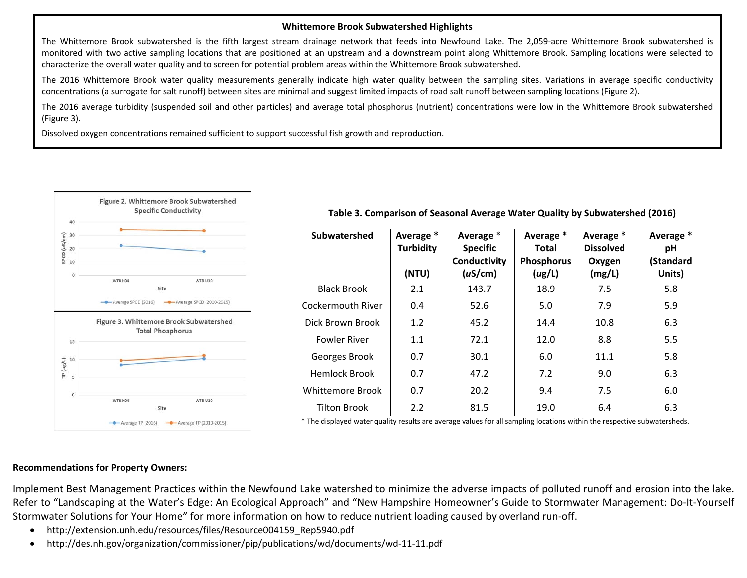### **Whittemore Brook Subwatershed Highlights**

The Whittemore Brook subwatershed is the fifth largest stream drainage network that feeds into Newfound Lake. The 2,059‐acre Whittemore Brook subwatershed is monitored with two active sampling locations that are positioned at an upstream and <sup>a</sup> downstream point along Whittemore Brook. Sampling locations were selected to characterize the overall water quality and to screen for potential problem areas within the Whittemore Brook subwatershed.

The 2016 Whittemore Brook water quality measurements generally indicate high water quality between the sampling sites. Variations in average specific conductivity concentrations (a surrogate for salt runoff) between sites are minimal and suggest limited impacts of road salt runoff between sampling locations (Figure 2).

The 2016 average turbidity (suspended soil and other particles) and average total phosphorus (nutrient) concentrations were low in the Whittemore Brook subwatershed (Figure 3).

Dissolved oxygen concentrations remained sufficient to support successful fish growth and reproduction.



| Subwatershed            | Average *<br><b>Turbidity</b><br>(NTU) | Average *<br><b>Specific</b><br>Conductivity<br>(uS/cm) | Average *<br>Total<br>Phosphorus<br>(ug/L) | Average *<br><b>Dissolved</b><br>Oxygen<br>(mg/L) | Average *<br>рH<br>(Standard<br>Units) |
|-------------------------|----------------------------------------|---------------------------------------------------------|--------------------------------------------|---------------------------------------------------|----------------------------------------|
| <b>Black Brook</b>      | 2.1                                    | 143.7                                                   | 18.9                                       | 7.5                                               | 5.8                                    |
| Cockermouth River       | 0.4                                    | 52.6                                                    | 5.0                                        | 7.9                                               | 5.9                                    |
| Dick Brown Brook        | 1.2                                    | 45.2                                                    | 14.4                                       | 10.8                                              | 6.3                                    |
| <b>Fowler River</b>     | 1.1                                    | 72.1                                                    | 12.0                                       | 8.8                                               | 5.5                                    |
| Georges Brook           | 0.7                                    | 30.1                                                    | 6.0                                        | 11.1                                              | 5.8                                    |
| <b>Hemlock Brook</b>    | 0.7                                    | 47.2                                                    | 7.2                                        | 9.0                                               | 6.3                                    |
| <b>Whittemore Brook</b> | 0.7                                    | 20.2                                                    | 9.4                                        | 7.5                                               | 6.0                                    |
| <b>Tilton Brook</b>     | 2.2                                    | 81.5                                                    | 19.0                                       | 6.4                                               | 6.3                                    |

**Table 3. Comparison of Seasonal Average Water Quality by Subwatershed (2016)**

\* The displayed water quality results are average values for all sampling locations within the respective subwatersheds.

### **Recommendations for Property Owners:**

Implement Best Management Practices within the Newfound Lake watershed to minimize the adverse impacts of polluted runoff and erosion into the lake. Refer to "Landscaping at the Water's Edge: An Ecological Approach" and "New Hampshire Homeowner's Guide to Stormwater Management: Do‐It‐Yourself Stormwater Solutions for Your Home" for more information on how to reduce nutrient loading caused by overland run‐off.

- $\bullet$ http://extension.unh.edu/resources/files/Resource004159\_Rep5940.pdf
- $\bullet$ http://des.nh.gov/organization/commissioner/pip/publications/wd/documents/wd‐11‐11.pdf